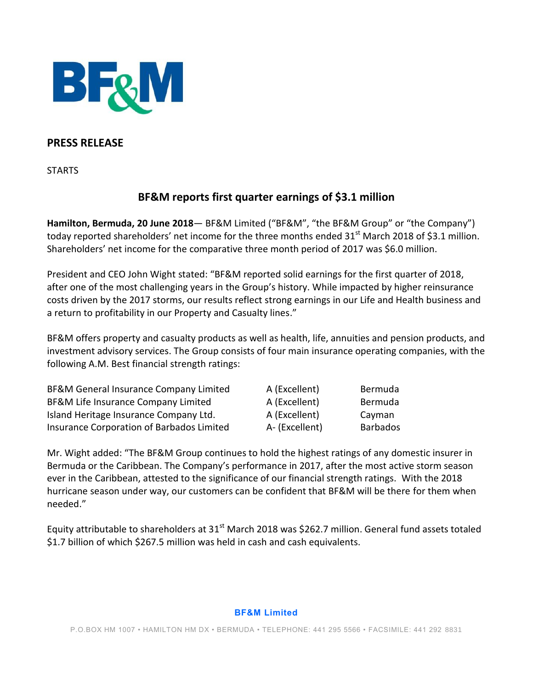

## **PRESS RELEASE**

**STARTS** 

# **BF&M reports first quarter earnings of \$3.1 million**

**Hamilton, Bermuda, 20 June 2018**— BF&M Limited ("BF&M", "the BF&M Group" or "the Company") today reported shareholders' net income for the three months ended 31<sup>st</sup> March 2018 of \$3.1 million. Shareholders' net income for the comparative three month period of 2017 was \$6.0 million.

President and CEO John Wight stated: "BF&M reported solid earnings for the first quarter of 2018, after one of the most challenging years in the Group's history. While impacted by higher reinsurance costs driven by the 2017 storms, our results reflect strong earnings in our Life and Health business and a return to profitability in our Property and Casualty lines."

BF&M offers property and casualty products as well as health, life, annuities and pension products, and investment advisory services. The Group consists of four main insurance operating companies, with the following A.M. Best financial strength ratings:

| BF&M General Insurance Company Limited<br>BF&M Life Insurance Company Limited<br>Island Heritage Insurance Company Ltd.<br>Insurance Corporation of Barbados Limited | A (Excellent)                                    | Bermuda                              |
|----------------------------------------------------------------------------------------------------------------------------------------------------------------------|--------------------------------------------------|--------------------------------------|
|                                                                                                                                                                      | A (Excellent)<br>A (Excellent)<br>A- (Excellent) | Bermuda<br>Cayman<br><b>Barbados</b> |

Mr. Wight added: "The BF&M Group continues to hold the highest ratings of any domestic insurer in Bermuda or the Caribbean. The Company's performance in 2017, after the most active storm season ever in the Caribbean, attested to the significance of our financial strength ratings. With the 2018 hurricane season under way, our customers can be confident that BF&M will be there for them when needed."

Equity attributable to shareholders at 31<sup>st</sup> March 2018 was \$262.7 million. General fund assets totaled \$1.7 billion of which \$267.5 million was held in cash and cash equivalents.

#### **BF&M Limited**